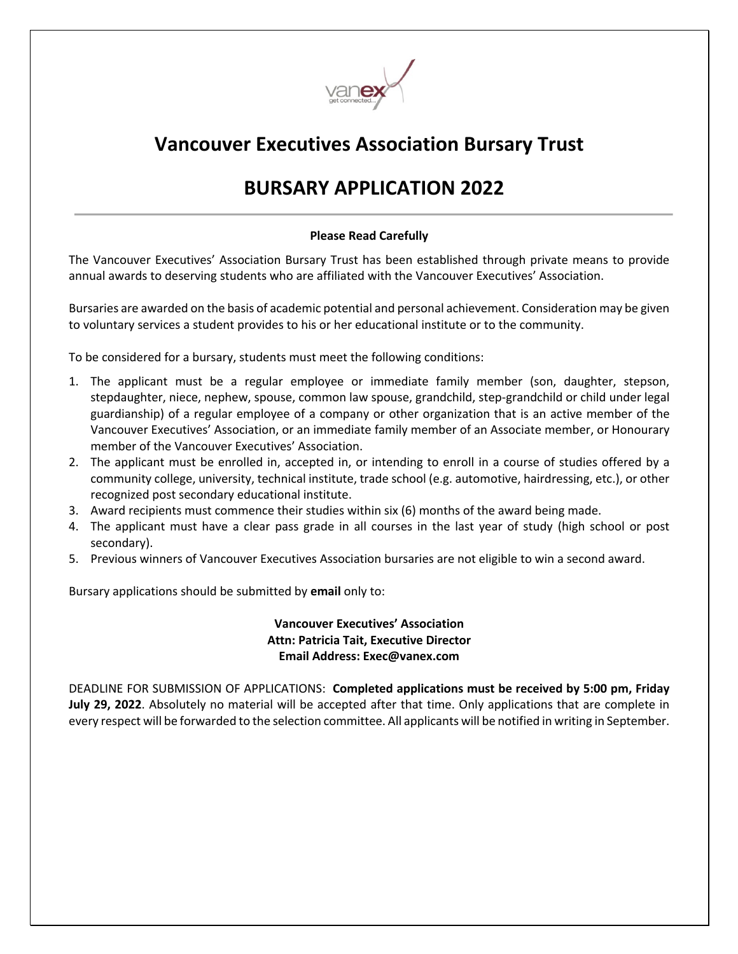

## **Vancouver Executives Association Bursary Trust**

# **BURSARY APPLICATION 2022**

### **Please Read Carefully**

The Vancouver Executives' Association Bursary Trust has been established through private means to provide annual awards to deserving students who are affiliated with the Vancouver Executives' Association.

Bursaries are awarded on the basis of academic potential and personal achievement. Consideration may be given to voluntary services a student provides to his or her educational institute or to the community.

To be considered for a bursary, students must meet the following conditions:

- 1. The applicant must be a regular employee or immediate family member (son, daughter, stepson, stepdaughter, niece, nephew, spouse, common law spouse, grandchild, step-grandchild or child under legal guardianship) of a regular employee of a company or other organization that is an active member of the Vancouver Executives' Association, or an immediate family member of an Associate member, or Honourary member of the Vancouver Executives' Association.
- 2. The applicant must be enrolled in, accepted in, or intending to enroll in a course of studies offered by a community college, university, technical institute, trade school (e.g. automotive, hairdressing, etc.), or other recognized post secondary educational institute.
- 3. Award recipients must commence their studies within six (6) months of the award being made.
- 4. The applicant must have a clear pass grade in all courses in the last year of study (high school or post secondary).
- 5. Previous winners of Vancouver Executives Association bursaries are not eligible to win a second award.

Bursary applications should be submitted by **email** only to:

#### **Vancouver Executives' Association Attn: Patricia Tait, Executive Director Email Address: Exec@vanex.com**

DEADLINE FOR SUBMISSION OF APPLICATIONS: **Completed applications must be received by 5:00 pm, Friday July 29, 2022**. Absolutely no material will be accepted after that time. Only applications that are complete in every respect will be forwarded to the selection committee. All applicants will be notified in writing in September.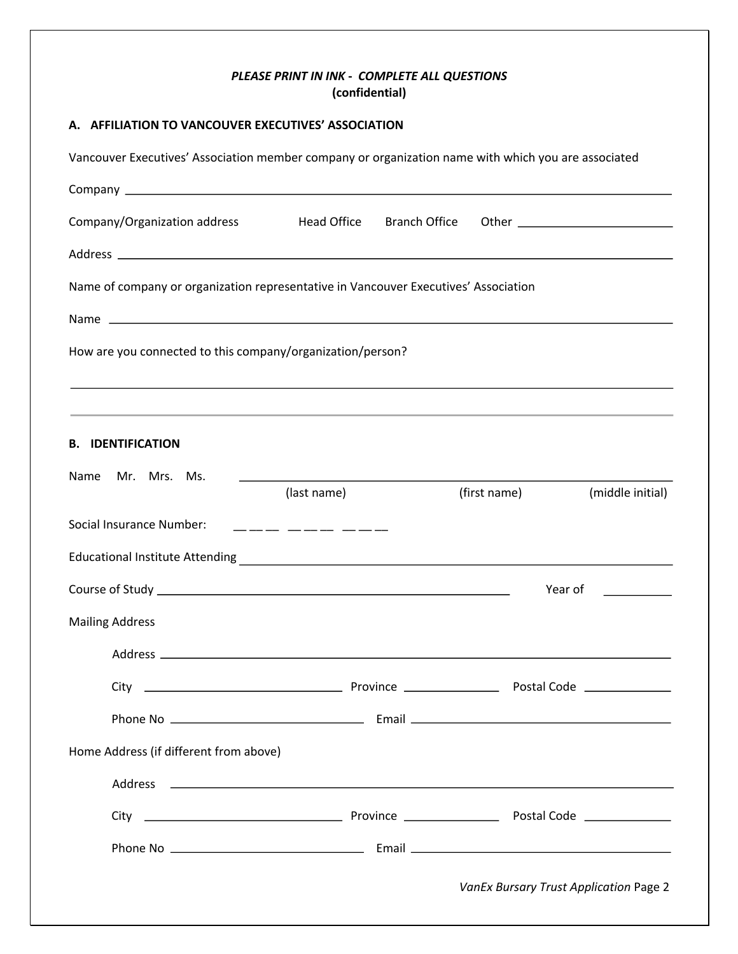#### *PLEASE PRINT IN INK* **-** *COMPLETE ALL QUESTIONS* **(confidential)**

#### **A. AFFILIATION TO VANCOUVER EXECUTIVES' ASSOCIATION**

Vancouver Executives' Association member company or organization name with which you are associated Company Company/Organization address Thead Office Branch Office Other Theorem Allemany Company (Organization address T Address Name of company or organization representative in Vancouver Executives' Association Name How are you connected to this company/organization/person? **B. IDENTIFICATION** Name Mr. Mrs. Ms.  $\frac{1}{2}$ (last name) (first name) (middle initial) Social Insurance Number:  $\qquad \qquad \_ \_ \_ \_ \_ \_ \_ \_ \_ \_ \_ \_ \_ \_$ Educational Institute Attending Course of Study Year of Mailing Address Address City Province Postal Code Phone No Email Home Address (if different from above) Address City Province Postal Code Phone No Email*VanEx Bursary Trust Application* Page 2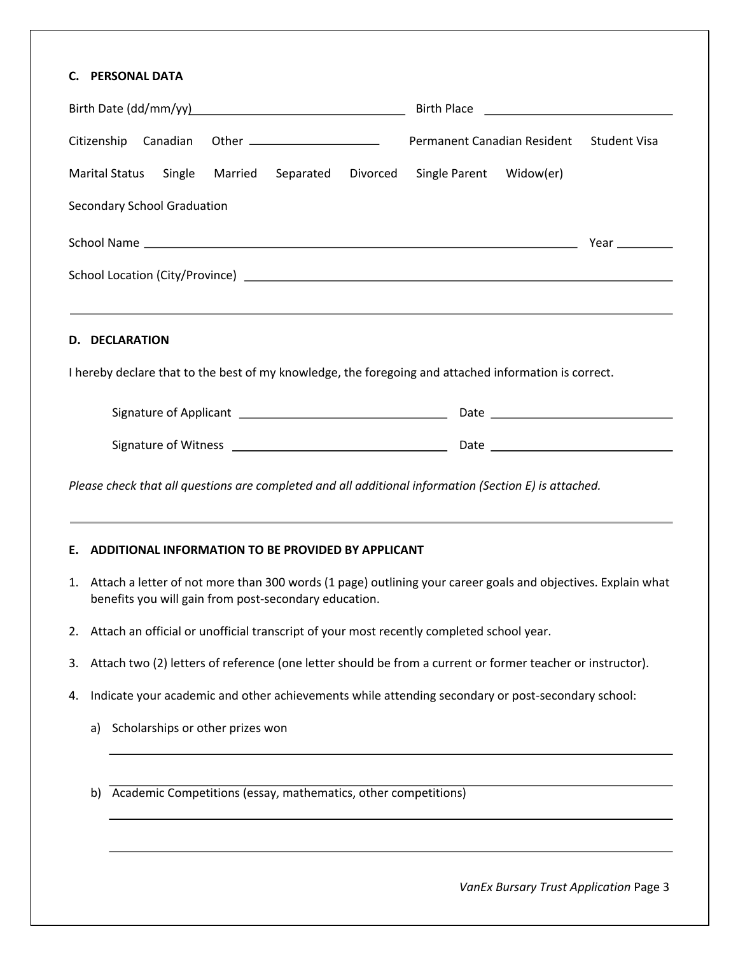### **C. PERSONAL DATA**

| Citizenship Canadian                                                                                                                                                     | Permanent Canadian Resident | <b>Student Visa</b> |
|--------------------------------------------------------------------------------------------------------------------------------------------------------------------------|-----------------------------|---------------------|
| <b>Marital Status</b><br>Single<br>Married<br>Separated<br>Divorced                                                                                                      | Single Parent Widow(er)     |                     |
| <b>Secondary School Graduation</b>                                                                                                                                       |                             |                     |
|                                                                                                                                                                          |                             |                     |
|                                                                                                                                                                          |                             |                     |
|                                                                                                                                                                          |                             |                     |
| <b>D. DECLARATION</b>                                                                                                                                                    |                             |                     |
| I hereby declare that to the best of my knowledge, the foregoing and attached information is correct.                                                                    |                             |                     |
|                                                                                                                                                                          |                             |                     |
|                                                                                                                                                                          |                             |                     |
|                                                                                                                                                                          |                             |                     |
| Please check that all questions are completed and all additional information (Section E) is attached.<br>ADDITIONAL INFORMATION TO BE PROVIDED BY APPLICANT<br>Е.        |                             |                     |
| 1. Attach a letter of not more than 300 words (1 page) outlining your career goals and objectives. Explain what<br>benefits you will gain from post-secondary education. |                             |                     |
| Attach an official or unofficial transcript of your most recently completed school year.<br>2.                                                                           |                             |                     |
| Attach two (2) letters of reference (one letter should be from a current or former teacher or instructor).<br>3.                                                         |                             |                     |
| Indicate your academic and other achievements while attending secondary or post-secondary school:<br>4.                                                                  |                             |                     |
| Scholarships or other prizes won<br>a)                                                                                                                                   |                             |                     |
|                                                                                                                                                                          |                             |                     |
| Academic Competitions (essay, mathematics, other competitions)<br>b)                                                                                                     |                             |                     |
|                                                                                                                                                                          |                             |                     |
|                                                                                                                                                                          |                             |                     |
|                                                                                                                                                                          |                             |                     |

*VanEx Bursary Trust Application* Page 3